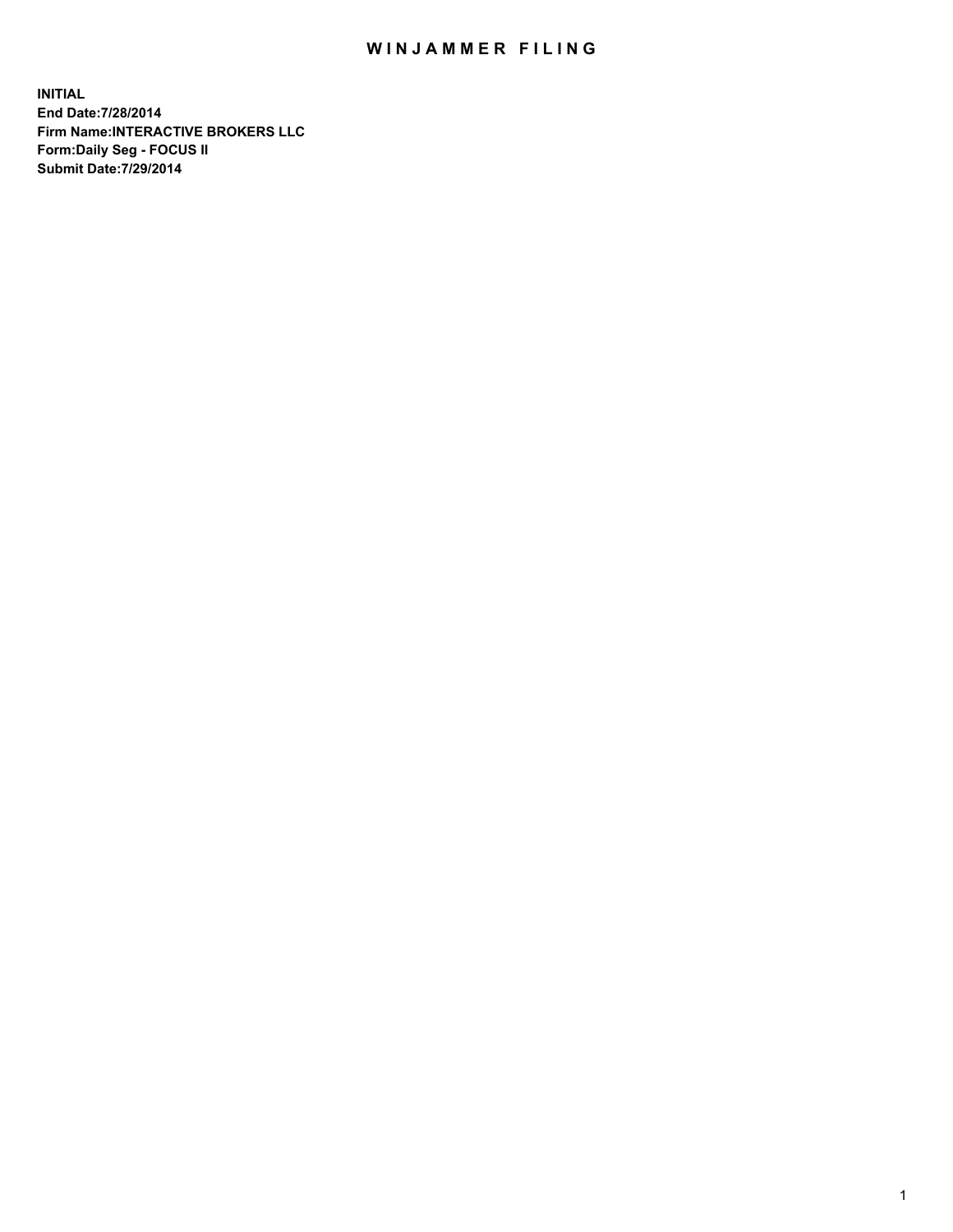## WIN JAMMER FILING

**INITIAL End Date:7/28/2014 Firm Name:INTERACTIVE BROKERS LLC Form:Daily Seg - FOCUS II Submit Date:7/29/2014**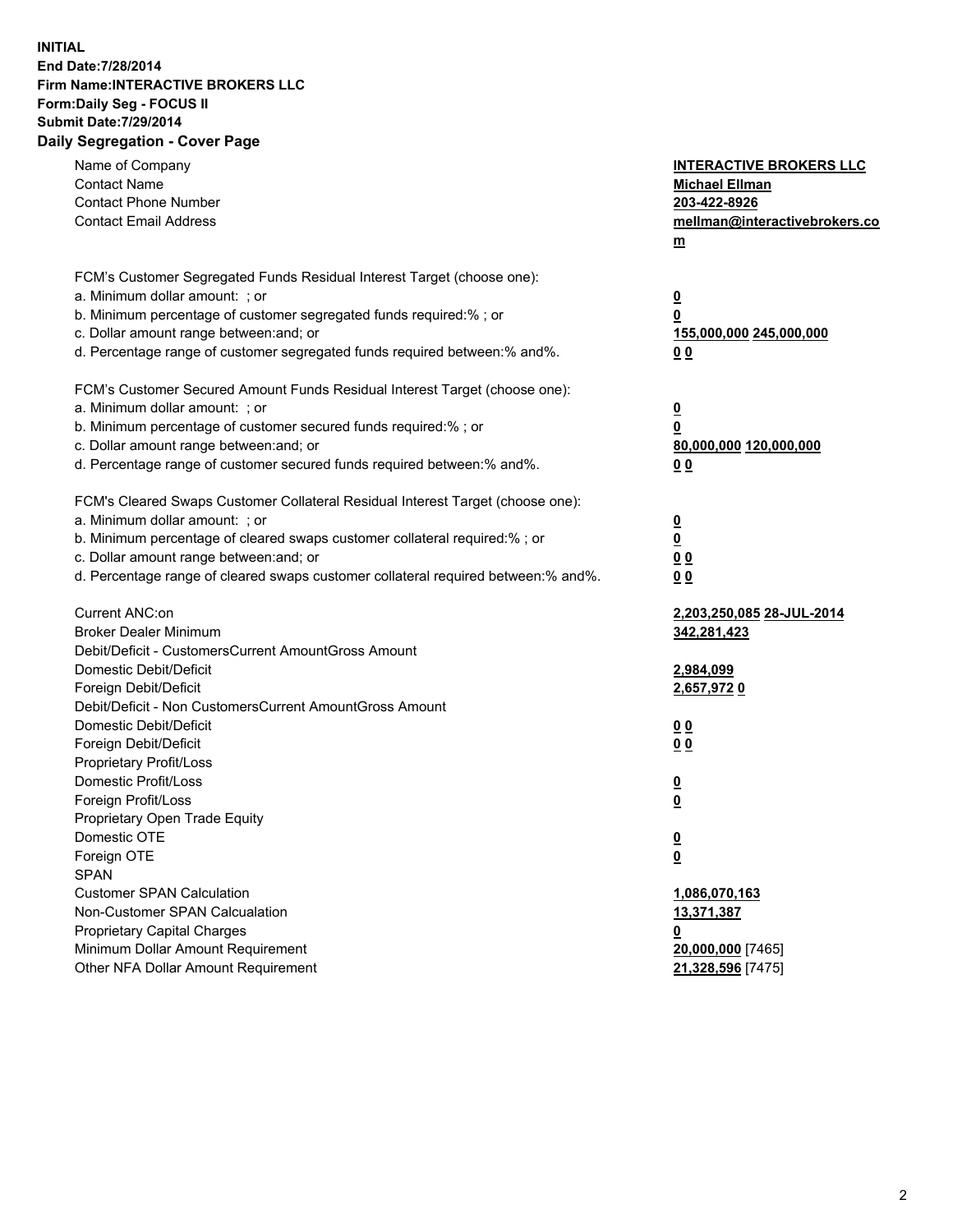## **INITIAL End Date:7/28/2014 Firm Name:INTERACTIVE BROKERS LLC Form:Daily Seg - FOCUS II Submit Date:7/29/2014 Daily Segregation - Cover Page**

| Name of Company<br><b>Contact Name</b><br><b>Contact Phone Number</b><br><b>Contact Email Address</b>                                                                                                                                                                                                                          | <b>INTERACTIVE BROKERS LLC</b><br><b>Michael Ellman</b><br>203-422-8926<br>mellman@interactivebrokers.co<br>$m$ |
|--------------------------------------------------------------------------------------------------------------------------------------------------------------------------------------------------------------------------------------------------------------------------------------------------------------------------------|-----------------------------------------------------------------------------------------------------------------|
| FCM's Customer Segregated Funds Residual Interest Target (choose one):<br>a. Minimum dollar amount: ; or<br>b. Minimum percentage of customer segregated funds required:% ; or<br>c. Dollar amount range between: and; or<br>d. Percentage range of customer segregated funds required between:% and%.                         | <u>0</u><br><u>0</u><br>155,000,000 245,000,000<br>0 <sub>0</sub>                                               |
| FCM's Customer Secured Amount Funds Residual Interest Target (choose one):<br>a. Minimum dollar amount: ; or<br>b. Minimum percentage of customer secured funds required:% ; or<br>c. Dollar amount range between: and; or<br>d. Percentage range of customer secured funds required between:% and%.                           | <u>0</u><br>0<br>80,000,000 120,000,000<br>0 <sub>0</sub>                                                       |
| FCM's Cleared Swaps Customer Collateral Residual Interest Target (choose one):<br>a. Minimum dollar amount: ; or<br>b. Minimum percentage of cleared swaps customer collateral required:% ; or<br>c. Dollar amount range between: and; or<br>d. Percentage range of cleared swaps customer collateral required between:% and%. | $\overline{\mathbf{0}}$<br>$\underline{\mathbf{0}}$<br>0 <sub>0</sub><br>0 <sub>0</sub>                         |
| Current ANC:on<br><b>Broker Dealer Minimum</b><br>Debit/Deficit - CustomersCurrent AmountGross Amount<br>Domestic Debit/Deficit<br>Foreign Debit/Deficit                                                                                                                                                                       | 2,203,250,085 28-JUL-2014<br>342,281,423<br>2,984,099<br>2,657,9720                                             |
| Debit/Deficit - Non CustomersCurrent AmountGross Amount<br>Domestic Debit/Deficit<br>Foreign Debit/Deficit<br>Proprietary Profit/Loss<br>Domestic Profit/Loss                                                                                                                                                                  | 0 <sub>0</sub><br>0 <sub>0</sub><br><u>0</u>                                                                    |
| Foreign Profit/Loss<br>Proprietary Open Trade Equity<br>Domestic OTE<br>Foreign OTE<br><b>SPAN</b><br><b>Customer SPAN Calculation</b>                                                                                                                                                                                         | <u>0</u><br><u>0</u><br><u>0</u><br>1,086,070,163                                                               |
| Non-Customer SPAN Calcualation<br><b>Proprietary Capital Charges</b><br>Minimum Dollar Amount Requirement<br>Other NFA Dollar Amount Requirement                                                                                                                                                                               | 13,371,387<br><u>0</u><br>20,000,000 [7465]<br>21,328,596 [7475]                                                |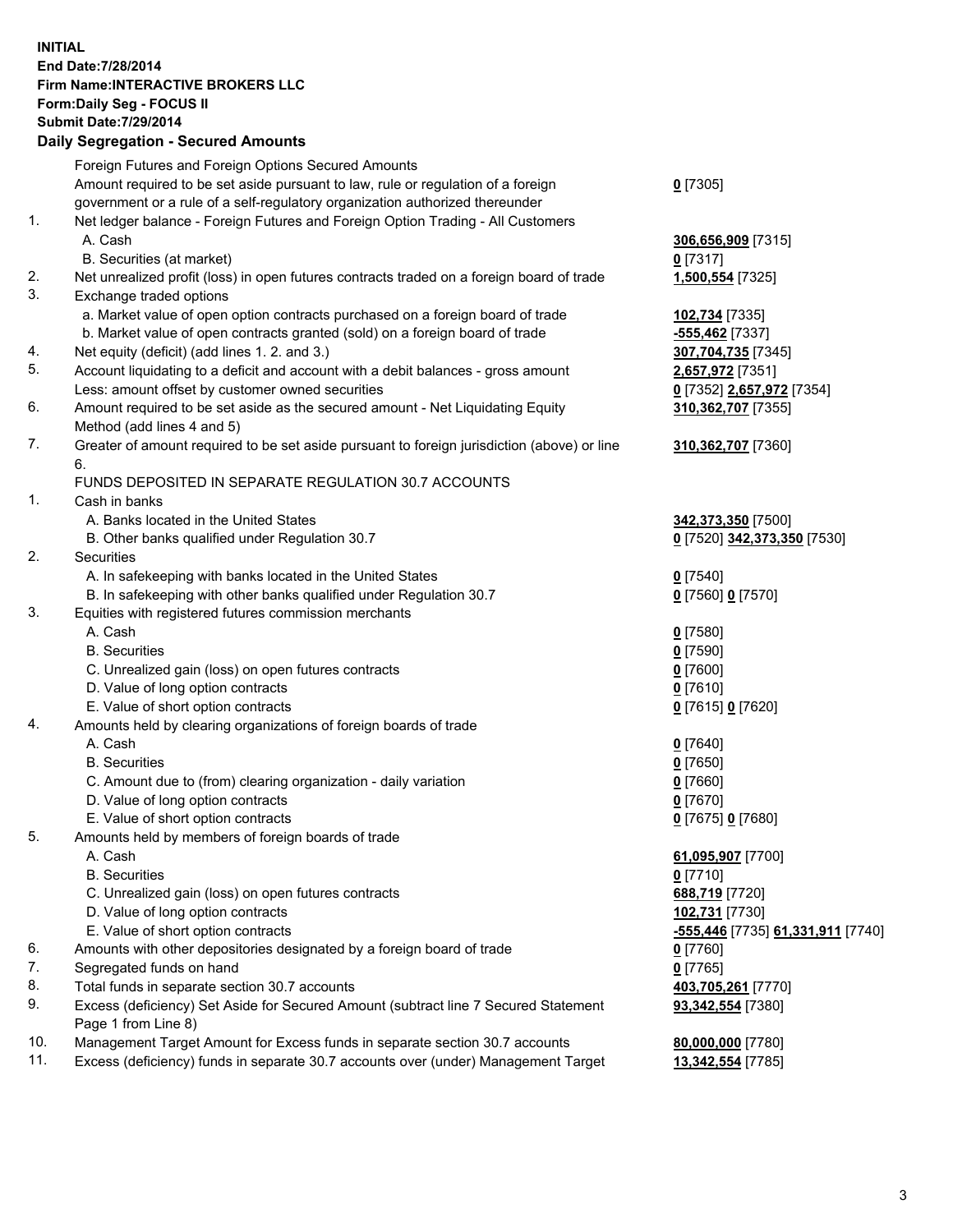## **INITIAL End Date:7/28/2014 Firm Name:INTERACTIVE BROKERS LLC Form:Daily Seg - FOCUS II Submit Date:7/29/2014 Daily Segregation - Secured Amounts**

|     | Dany Ocgregation - Oceanea Annoanta                                                         |                                   |
|-----|---------------------------------------------------------------------------------------------|-----------------------------------|
|     | Foreign Futures and Foreign Options Secured Amounts                                         |                                   |
|     | Amount required to be set aside pursuant to law, rule or regulation of a foreign            | $0$ [7305]                        |
|     | government or a rule of a self-regulatory organization authorized thereunder                |                                   |
| 1.  | Net ledger balance - Foreign Futures and Foreign Option Trading - All Customers             |                                   |
|     | A. Cash                                                                                     | 306,656,909 [7315]                |
|     | B. Securities (at market)                                                                   | $0$ [7317]                        |
| 2.  | Net unrealized profit (loss) in open futures contracts traded on a foreign board of trade   | 1,500,554 [7325]                  |
| 3.  | Exchange traded options                                                                     |                                   |
|     | a. Market value of open option contracts purchased on a foreign board of trade              | 102,734 [7335]                    |
|     | b. Market value of open contracts granted (sold) on a foreign board of trade                | -555,462 [7337]                   |
| 4.  | Net equity (deficit) (add lines 1.2. and 3.)                                                | 307,704,735 [7345]                |
| 5.  | Account liquidating to a deficit and account with a debit balances - gross amount           | 2,657,972 [7351]                  |
|     | Less: amount offset by customer owned securities                                            | 0 [7352] 2,657,972 [7354]         |
| 6.  | Amount required to be set aside as the secured amount - Net Liquidating Equity              | 310,362,707 [7355]                |
|     | Method (add lines 4 and 5)                                                                  |                                   |
| 7.  | Greater of amount required to be set aside pursuant to foreign jurisdiction (above) or line | 310,362,707 [7360]                |
|     | 6.                                                                                          |                                   |
|     | FUNDS DEPOSITED IN SEPARATE REGULATION 30.7 ACCOUNTS                                        |                                   |
| 1.  | Cash in banks                                                                               |                                   |
|     | A. Banks located in the United States                                                       | 342,373,350 [7500]                |
|     | B. Other banks qualified under Regulation 30.7                                              | 0 [7520] 342,373,350 [7530]       |
| 2.  | Securities                                                                                  |                                   |
|     | A. In safekeeping with banks located in the United States                                   | $0$ [7540]                        |
|     | B. In safekeeping with other banks qualified under Regulation 30.7                          | 0 [7560] 0 [7570]                 |
| 3.  | Equities with registered futures commission merchants                                       |                                   |
|     | A. Cash                                                                                     | $0$ [7580]                        |
|     | <b>B.</b> Securities                                                                        | $0$ [7590]                        |
|     | C. Unrealized gain (loss) on open futures contracts                                         | $0$ [7600]                        |
|     | D. Value of long option contracts                                                           | $0$ [7610]                        |
|     | E. Value of short option contracts                                                          | 0 [7615] 0 [7620]                 |
| 4.  | Amounts held by clearing organizations of foreign boards of trade                           |                                   |
|     | A. Cash                                                                                     | $0$ [7640]                        |
|     | <b>B.</b> Securities                                                                        | $0$ [7650]                        |
|     | C. Amount due to (from) clearing organization - daily variation                             | $0$ [7660]                        |
|     | D. Value of long option contracts                                                           | $0$ [7670]                        |
| 5.  | E. Value of short option contracts                                                          | 0 [7675] 0 [7680]                 |
|     | Amounts held by members of foreign boards of trade<br>A. Cash                               |                                   |
|     | <b>B.</b> Securities                                                                        | 61,095,907 [7700]                 |
|     |                                                                                             | $0$ [7710]                        |
|     | C. Unrealized gain (loss) on open futures contracts<br>D. Value of long option contracts    | 688,719 [7720]<br>102,731 [7730]  |
|     | E. Value of short option contracts                                                          | -555,446 [7735] 61,331,911 [7740] |
| 6.  | Amounts with other depositories designated by a foreign board of trade                      | 0 [7760]                          |
| 7.  | Segregated funds on hand                                                                    | $0$ [7765]                        |
| 8.  | Total funds in separate section 30.7 accounts                                               | 403,705,261 [7770]                |
| 9.  | Excess (deficiency) Set Aside for Secured Amount (subtract line 7 Secured Statement         | 93,342,554 [7380]                 |
|     | Page 1 from Line 8)                                                                         |                                   |
| 10. | Management Target Amount for Excess funds in separate section 30.7 accounts                 | 80,000,000 [7780]                 |
| 11. | Excess (deficiency) funds in separate 30.7 accounts over (under) Management Target          | 13,342,554 [7785]                 |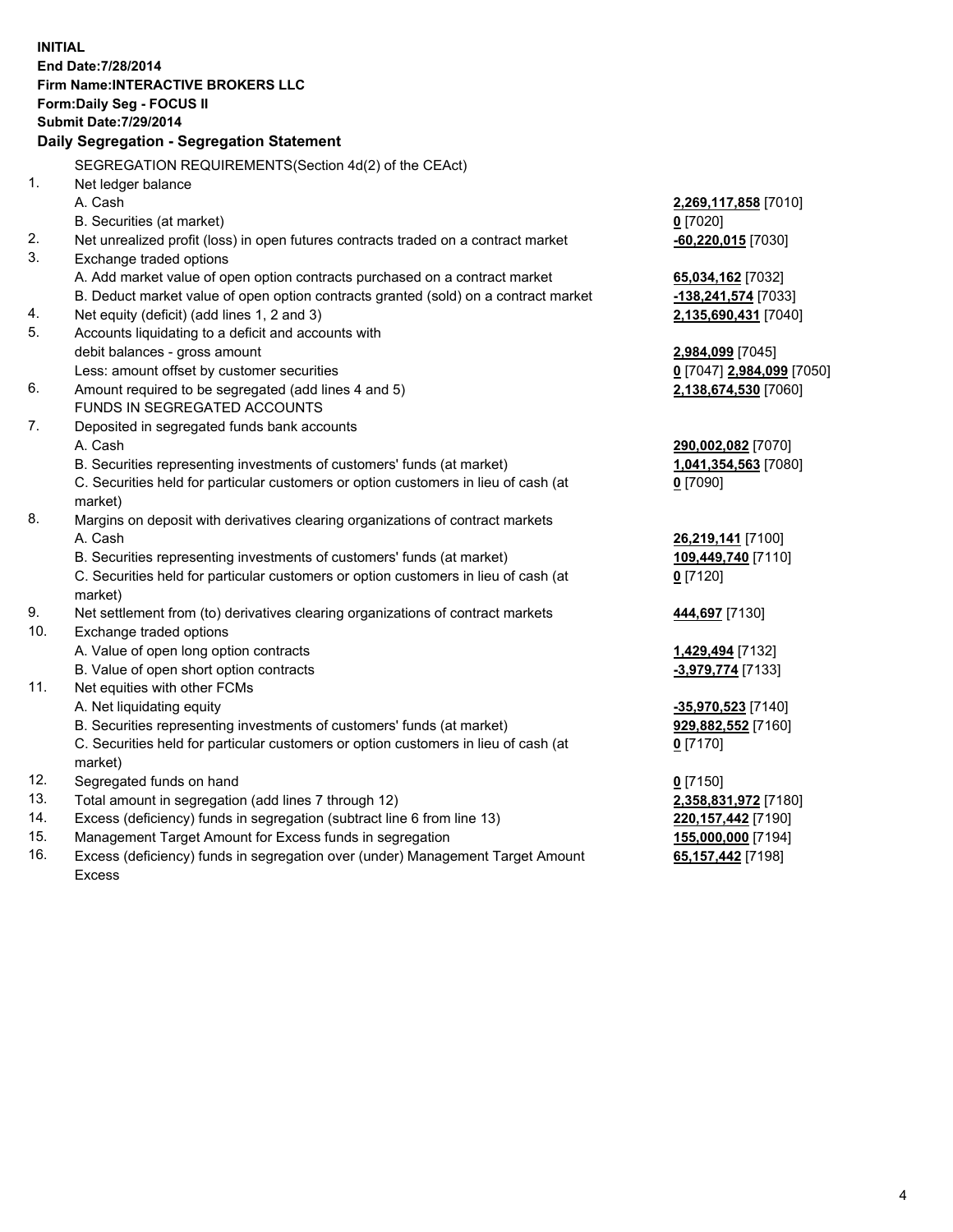**INITIAL End Date:7/28/2014 Firm Name:INTERACTIVE BROKERS LLC Form:Daily Seg - FOCUS II Submit Date:7/29/2014 Daily Segregation - Segregation Statement** SEGREGATION REQUIREMENTS(Section 4d(2) of the CEAct) 1. Net ledger balance A. Cash **2,269,117,858** [7010] B. Securities (at market) **0** [7020] 2. Net unrealized profit (loss) in open futures contracts traded on a contract market **-60,220,015** [7030] 3. Exchange traded options A. Add market value of open option contracts purchased on a contract market **65,034,162** [7032] B. Deduct market value of open option contracts granted (sold) on a contract market **-138,241,574** [7033] 4. Net equity (deficit) (add lines 1, 2 and 3) **2,135,690,431** [7040] 5. Accounts liquidating to a deficit and accounts with debit balances - gross amount **2,984,099** [7045] Less: amount offset by customer securities **0** [7047] **2,984,099** [7050] 6. Amount required to be segregated (add lines 4 and 5) **2,138,674,530** [7060] FUNDS IN SEGREGATED ACCOUNTS 7. Deposited in segregated funds bank accounts A. Cash **290,002,082** [7070] B. Securities representing investments of customers' funds (at market) **1,041,354,563** [7080] C. Securities held for particular customers or option customers in lieu of cash (at market) **0** [7090] 8. Margins on deposit with derivatives clearing organizations of contract markets A. Cash **26,219,141** [7100] B. Securities representing investments of customers' funds (at market) **109,449,740** [7110] C. Securities held for particular customers or option customers in lieu of cash (at market) **0** [7120] 9. Net settlement from (to) derivatives clearing organizations of contract markets **444,697** [7130] 10. Exchange traded options A. Value of open long option contracts **1,429,494** [7132] B. Value of open short option contracts **-3,979,774** [7133] 11. Net equities with other FCMs A. Net liquidating equity **-35,970,523** [7140] B. Securities representing investments of customers' funds (at market) **929,882,552** [7160] C. Securities held for particular customers or option customers in lieu of cash (at market) **0** [7170] 12. Segregated funds on hand **0** [7150] 13. Total amount in segregation (add lines 7 through 12) **2,358,831,972** [7180] 14. Excess (deficiency) funds in segregation (subtract line 6 from line 13) **220,157,442** [7190] 15. Management Target Amount for Excess funds in segregation **155,000,000** [7194]

16. Excess (deficiency) funds in segregation over (under) Management Target Amount Excess

**65,157,442** [7198]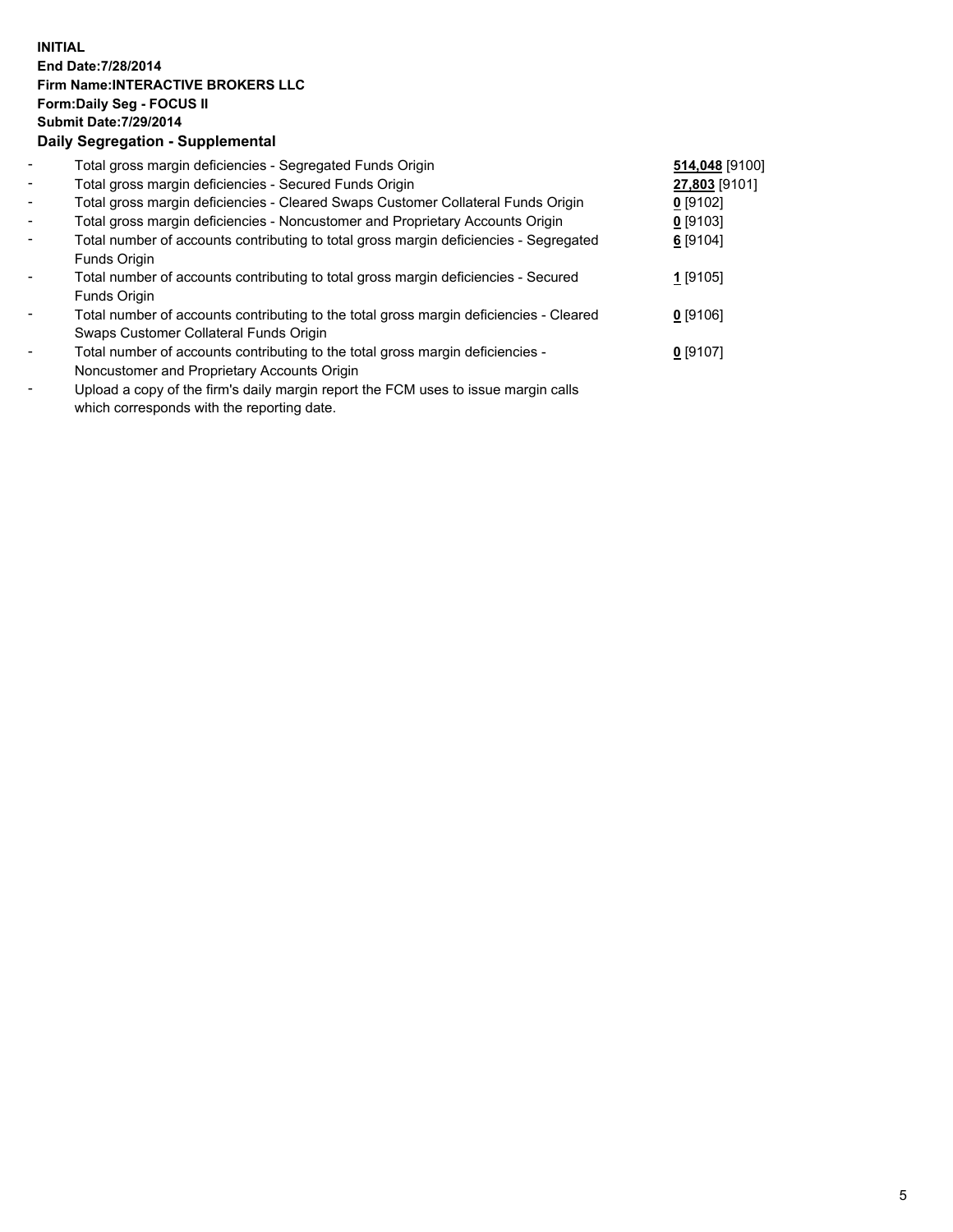## **INITIAL End Date:7/28/2014 Firm Name:INTERACTIVE BROKERS LLC Form:Daily Seg - FOCUS II Submit Date:7/29/2014 Daily Segregation - Supplemental**

| $\blacksquare$ | Total gross margin deficiencies - Segregated Funds Origin                              | 514,048 [9100] |  |
|----------------|----------------------------------------------------------------------------------------|----------------|--|
| $\blacksquare$ | Total gross margin deficiencies - Secured Funds Origin                                 | 27,803 [9101]  |  |
| $\blacksquare$ | Total gross margin deficiencies - Cleared Swaps Customer Collateral Funds Origin       | $0$ [9102]     |  |
| $\blacksquare$ | Total gross margin deficiencies - Noncustomer and Proprietary Accounts Origin          | $0$ [9103]     |  |
| $\blacksquare$ | Total number of accounts contributing to total gross margin deficiencies - Segregated  | $6$ [9104]     |  |
|                | Funds Origin                                                                           |                |  |
| $\blacksquare$ | Total number of accounts contributing to total gross margin deficiencies - Secured     | 1 [9105]       |  |
|                | Funds Origin                                                                           |                |  |
| $\blacksquare$ | Total number of accounts contributing to the total gross margin deficiencies - Cleared | $0$ [9106]     |  |
|                | Swaps Customer Collateral Funds Origin                                                 |                |  |
| $\blacksquare$ | Total number of accounts contributing to the total gross margin deficiencies -         | $0$ [9107]     |  |
|                | Noncustomer and Proprietary Accounts Origin                                            |                |  |
|                | Llebend e contrafibe finele deilu mensin senert the EOM uses to issue mensin selle     |                |  |

Upload a copy of the firm's daily margin report the FCM uses to issue margin calls which corresponds with the reporting date.